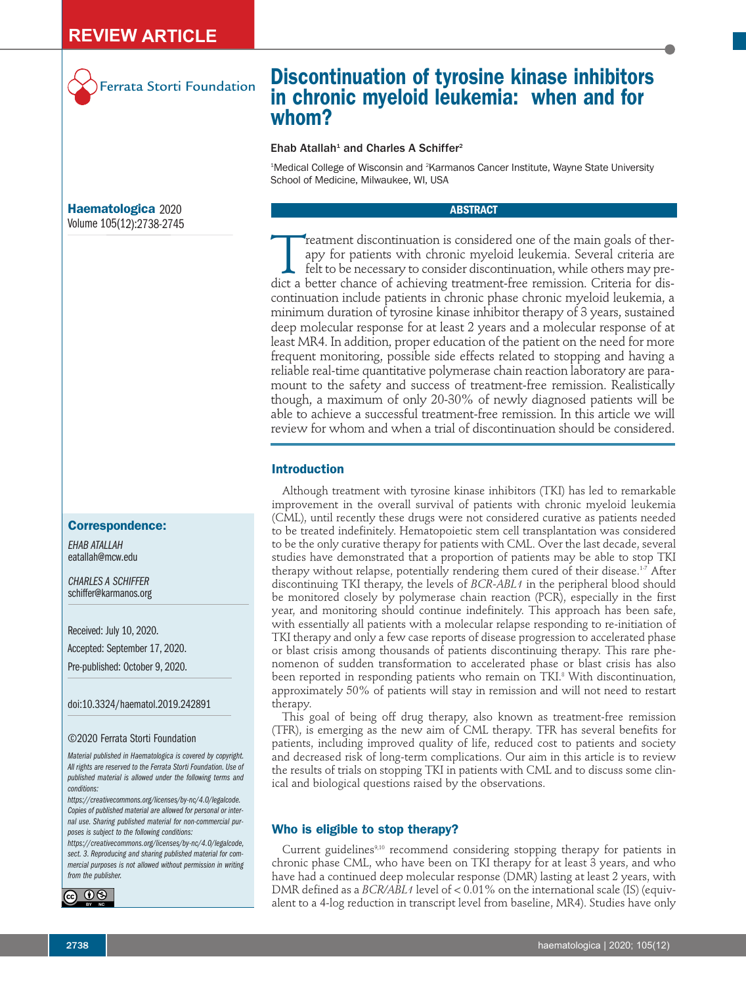

## Ferrata Storti Foundation

## **Haematologica** 2020 Volume 105(12):2738-2745

## **Correspondence:**

*EHAB ATALLAH* eatallah@mcw.edu

*CHARLES A SCHIFFER* schiffer@karmanos.org

Received: July 10, 2020.

Accepted: September 17, 2020.

Pre-published: October 9, 2020.

doi:10.3324/haematol.2019.242891

#### ©2020 Ferrata Storti Foundation

*Material published in Haematologica is covered by copyright. All rights are reserved to the Ferrata Storti Foundation. Use of published material is allowed under the following terms and conditions:*

*https://creativecommons.org/licenses/by-nc/4.0/legalcode. Copies of published material are allowed for personal or internal use. Sharing published material for non-commercial purposes is subject to the following conditions:*

*https://creativecommons.org/licenses/by-nc/4.0/legalcode, sect. 3. Reproducing and sharing published material for commercial purposes is not allowed without permission in writing from the publisher.*



# **Discontinuation of tyrosine kinase inhibitors in chronic myeloid leukemia: when and for whom?**

## $E$ hab Atallah<sup>1</sup> and Charles A Schiffer<sup>2</sup>

<sup>1</sup>Medical College of Wisconsin and <sup>2</sup>Karmanos Cancer Institute, Wayne State University School of Medicine, Milwaukee, WI, USA

#### **ABSTRACT**

Treatment discontinuation is considered one of the main goals of ther-<br>apy for patients with chronic myeloid leukemia. Several criteria are<br>felt to be necessary to consider discontinuation, while others may pre-<br>dict a bet apy for patients with chronic myeloid leukemia. Several criteria are felt to be necessary to consider discontinuation, while others may predict a better chance of achieving treatment-free remission. Criteria for discontinuation include patients in chronic phase chronic myeloid leukemia, a minimum duration of tyrosine kinase inhibitor therapy of 3 years, sustained deep molecular response for at least 2 years and a molecular response of at least MR4. In addition, proper education of the patient on the need for more frequent monitoring, possible side effects related to stopping and having a reliable real-time quantitative polymerase chain reaction laboratory are paramount to the safety and success of treatment-free remission. Realistically though, a maximum of only 20-30% of newly diagnosed patients will be able to achieve a successful treatment-free remission. In this article we will review for whom and when a trial of discontinuation should be considered.

### **Introduction**

Although treatment with tyrosine kinase inhibitors (TKI) has led to remarkable improvement in the overall survival of patients with chronic myeloid leukemia (CML), until recently these drugs were not considered curative as patients needed to be treated indefinitely. Hematopoietic stem cell transplantation was considered to be the only curative therapy for patients with CML. Over the last decade, several studies have demonstrated that a proportion of patients may be able to stop TKI therapy without relapse, potentially rendering them cured of their disease.<sup>1-7</sup> After discontinuing TKI therapy, the levels of *BCR-ABL1* in the peripheral blood should be monitored closely by polymerase chain reaction (PCR), especially in the first year, and monitoring should continue indefinitely. This approach has been safe, with essentially all patients with a molecular relapse responding to re-initiation of TKI therapy and only a few case reports of disease progression to accelerated phase or blast crisis among thousands of patients discontinuing therapy. This rare phenomenon of sudden transformation to accelerated phase or blast crisis has also been reported in responding patients who remain on TKI. <sup>8</sup> With discontinuation, approximately 50% of patients will stay in remission and will not need to restart therapy.

This goal of being off drug therapy, also known as treatment-free remission (TFR), is emerging as the new aim of CML therapy. TFR has several benefits for patients, including improved quality of life, reduced cost to patients and society and decreased risk of long-term complications. Our aim in this article is to review the results of trials on stopping TKI in patients with CML and to discuss some clinical and biological questions raised by the observations.

## **Who is eligible to stop therapy?**

Current guidelines<sup>9,10</sup> recommend considering stopping therapy for patients in chronic phase CML, who have been on TKI therapy for at least 3 years, and who have had a continued deep molecular response (DMR) lasting at least 2 years, with DMR defined as a *BCR/ABL1* level of < 0.01% on the international scale (IS) (equivalent to a 4-log reduction in transcript level from baseline, MR4). Studies have only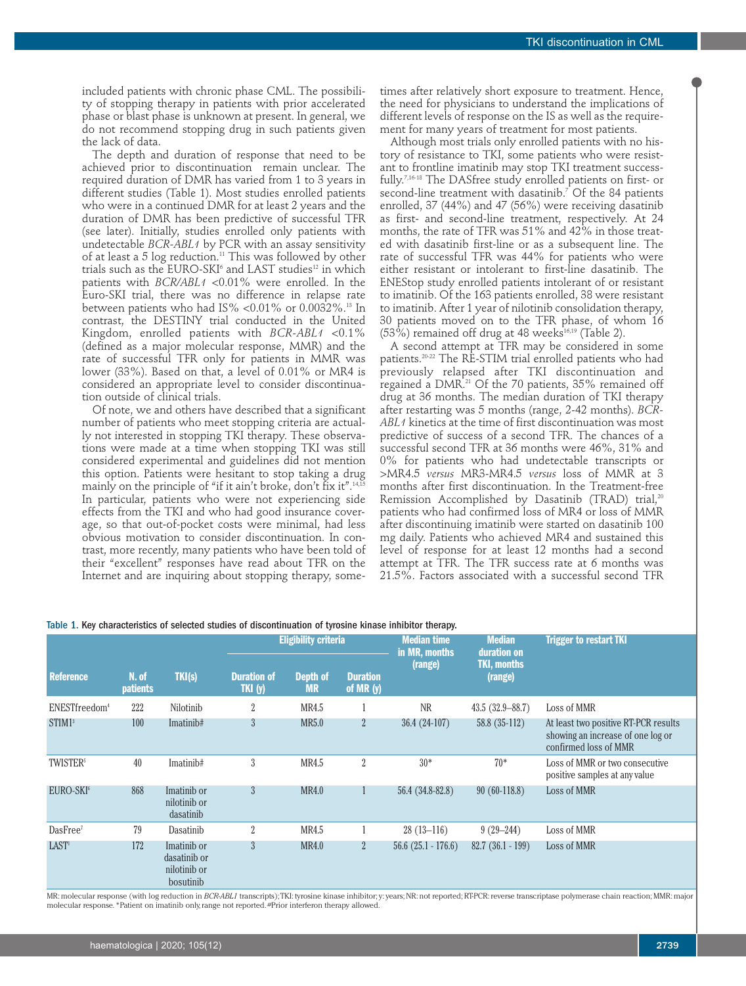included patients with chronic phase CML. The possibility of stopping therapy in patients with prior accelerated phase or blast phase is unknown at present. In general, we do not recommend stopping drug in such patients given the lack of data.

The depth and duration of response that need to be achieved prior to discontinuation remain unclear. The required duration of DMR has varied from 1 to 3 years in different studies (Table 1). Most studies enrolled patients who were in a continued DMR for at least 2 years and the duration of DMR has been predictive of successful TFR (see later). Initially, studies enrolled only patients with undetectable *BCR-ABL1* by PCR with an assay sensitivity of at least a 5 log reduction. <sup>11</sup> This was followed by other trials such as the  $\rm EURO\text{-}SKI^\circ$  and  $\rm LAST$  studies $^{\rm 12}$  in which patients with *BCR/ABL1* <0.01% were enrolled. In the Euro-SKI trial, there was no difference in relapse rate between patients who had IS% <0.01% or 0.0032%. <sup>13</sup> In contrast, the DESTINY trial conducted in the United Kingdom, enrolled patients with *BCR-ABL1* <0.1% (defined as a major molecular response, MMR) and the rate of successful TFR only for patients in MMR was lower (33%). Based on that, a level of 0.01% or MR4 is considered an appropriate level to consider discontinuation outside of clinical trials.

Of note, we and others have described that a significant number of patients who meet stopping criteria are actually not interested in stopping TKI therapy. These observations were made at a time when stopping TKI was still considered experimental and guidelines did not mention this option. Patients were hesitant to stop taking a drug mainly on the principle of "if it ain't broke, don't fix it". 14,15 In particular, patients who were not experiencing side effects from the TKI and who had good insurance coverage, so that out-of-pocket costs were minimal, had less obvious motivation to consider discontinuation. In contrast, more recently, many patients who have been told of their "excellent" responses have read about TFR on the Internet and are inquiring about stopping therapy, some-

Table 1. Key characteristics of selected studies of discontinuation of tyrosine kinase inhibitor therapy.

times after relatively short exposure to treatment. Hence, the need for physicians to understand the implications of different levels of response on the IS as well as the requirement for many years of treatment for most patients.

Although most trials only enrolled patients with no history of resistance to TKI, some patients who were resistant to frontline imatinib may stop TKI treatment successfully. 7,16-18 The DASfree study enrolled patients on first- or second-line treatment with dasatinib. <sup>7</sup> Of the 84 patients enrolled, 37 (44%) and 47 (56%) were receiving dasatinib as first- and second-line treatment, respectively. At 24 months, the rate of TFR was 51% and 42% in those treated with dasatinib first-line or as a subsequent line. The rate of successful TFR was 44% for patients who were either resistant or intolerant to first-line dasatinib. The ENEStop study enrolled patients intolerant of or resistant to imatinib. Of the 163 patients enrolled, 38 were resistant to imatinib. After 1 year of nilotinib consolidation therapy, 30 patients moved on to the TFR phase, of whom 16  $(53\%)$  remained off drug at 48 weeks<sup>16,19</sup> (Table 2).

A second attempt at TFR may be considered in some patients. 20-22 The RE-STIM trial enrolled patients who had previously relapsed after TKI discontinuation and regained a DMR. <sup>21</sup> Of the 70 patients, 35% remained off drug at 36 months. The median duration of TKI therapy after restarting was 5 months (range, 2-42 months). *BCR-ABL1* kinetics at the time of first discontinuation was most predictive of success of a second TFR. The chances of a successful second TFR at 36 months were 46%, 31% and 0% for patients who had undetectable transcripts or >MR4.5 *versus* MR3-MR4.5 *versus* loss of MMR at 3 months after first discontinuation. In the Treatment-free Remission Accomplished by Dasatinib (TRAD) trial, 20 patients who had confirmed loss of MR4 or loss of MMR after discontinuing imatinib were started on dasatinib 100 mg daily. Patients who achieved MR4 and sustained this level of response for at least 12 months had a second attempt at TFR. The TFR success rate at 6 months was 21.5%. Factors associated with a successful second TFR

|                             |                          |                                                          | <b>Eligibility criteria</b>   |                              |                               | <b>Median time</b><br>in MR, months | <b>Median</b><br>duration on | <b>Trigger to restart TKI</b>                                                                      |  |
|-----------------------------|--------------------------|----------------------------------------------------------|-------------------------------|------------------------------|-------------------------------|-------------------------------------|------------------------------|----------------------------------------------------------------------------------------------------|--|
| <b>Reference</b>            | N. of<br><b>patients</b> | TKI(s)                                                   | <b>Duration of</b><br>TKI (y) | <b>Depth of</b><br><b>MR</b> | <b>Duration</b><br>of $MR(y)$ | (range)                             | TKI, months<br>(range)       |                                                                                                    |  |
| ENESTfreedom <sup>4</sup>   | 222                      | Nilotinib                                                | $\overline{2}$                | MR4.5                        |                               | <b>NR</b>                           | $43.5(32.9 - 88.7)$          | Loss of MMR                                                                                        |  |
| STIM1 <sup>3</sup>          | 100                      | Imatinib#                                                | 3                             | MR5.0                        | $\overline{2}$                | $36.4(24-107)$                      | $58.8(35-112)$               | At least two positive RT-PCR results<br>showing an increase of one log or<br>confirmed loss of MMR |  |
| <b>TWISTER</b> <sup>5</sup> | 40                       | Imatinib#                                                | $\mathfrak{Z}$                | MR4.5                        | $\overline{2}$                | $30*$                               | $70*$                        | Loss of MMR or two consecutive<br>positive samples at any value                                    |  |
| EURO-SKI <sup>6</sup>       | 868                      | Imatinib or<br>nilotinib or<br>dasatinib                 | $\mathfrak{Z}$                | <b>MR4.0</b>                 |                               | 56.4 (34.8-82.8)                    | $90(60-118.8)$               | Loss of MMR                                                                                        |  |
| DasFree <sup>7</sup>        | 79                       | Dasatinib                                                | $\overline{2}$                | MR4.5                        |                               | $28(13-116)$                        | $9(29 - 244)$                | Loss of MMR                                                                                        |  |
| LAST <sup>1</sup>           | 172                      | Imatinib or<br>dasatinib or<br>nilotinib or<br>bosutinib | 3                             | <b>MR4.0</b>                 | $\overline{2}$                | $56.6(25.1 - 176.6)$                | $82.7(36.1-199)$             | Loss of MMR                                                                                        |  |

MR: molecular response (with log reduction in *BCR-ABL1* transcripts);TKI: tyrosine kinase inhibitor; y: years; NR: not reported; RT-PCR: reverse transcriptase polymerase chain reaction; MMR: major molecular response.\*Patient on imatinib only,range not reported. #Prior interferon therapy allowed.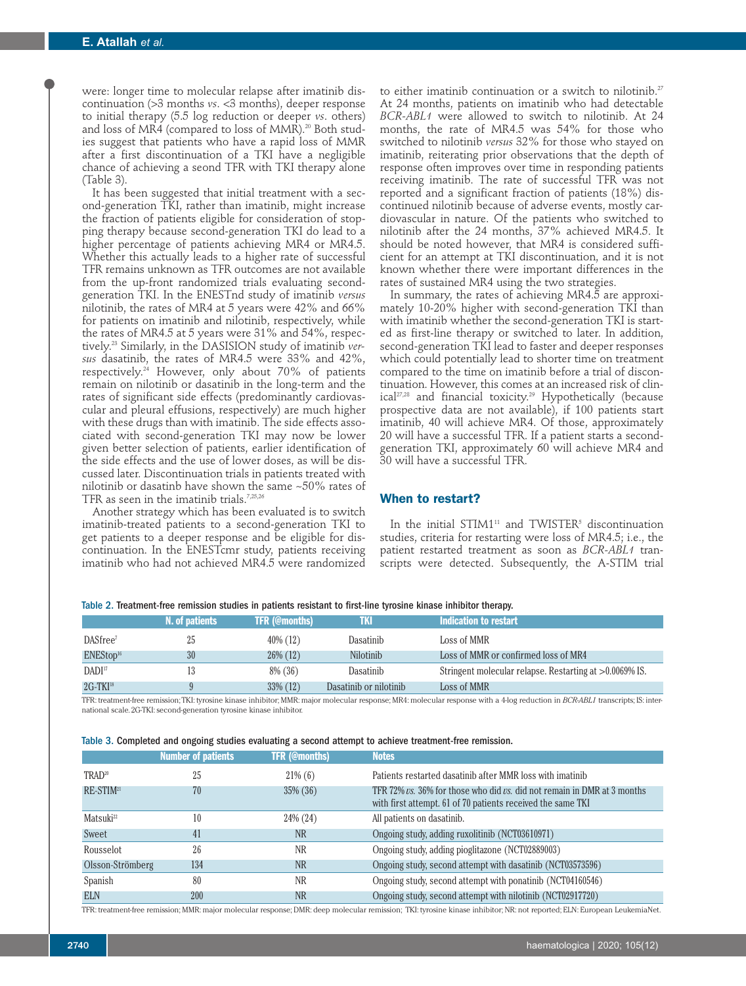were: longer time to molecular relapse after imatinib discontinuation (>3 months *vs*. <3 months), deeper response to initial therapy (5.5 log reduction or deeper *vs*. others) and loss of MR4 (compared to loss of MMR). <sup>20</sup> Both studies suggest that patients who have a rapid loss of MMR after a first discontinuation of a TKI have a negligible chance of achieving a seond TFR with TKI therapy alone (Table 3).

It has been suggested that initial treatment with a second-generation TKI, rather than imatinib, might increase the fraction of patients eligible for consideration of stopping therapy because second-generation TKI do lead to a higher percentage of patients achieving MR4 or MR4.5. Whether this actually leads to a higher rate of successful TFR remains unknown as TFR outcomes are not available from the up-front randomized trials evaluating secondgeneration TKI. In the ENESTnd study of imatinib *versus* nilotinib, the rates of MR4 at 5 years were 42% and 66% for patients on imatinib and nilotinib, respectively, while the rates of MR4.5 at 5 years were 31% and 54%, respectively. <sup>23</sup> Similarly, in the DASISION study of imatinib *versus* dasatinib, the rates of MR4.5 were 33% and 42%, respectively. <sup>24</sup> However, only about 70% of patients remain on nilotinib or dasatinib in the long-term and the rates of significant side effects (predominantly cardiovascular and pleural effusions, respectively) are much higher with these drugs than with imatinib. The side effects associated with second-generation TKI may now be lower given better selection of patients, earlier identification of the side effects and the use of lower doses, as will be discussed later. Discontinuation trials in patients treated with nilotinib or dasatinb have shown the same ~50% rates of TFR as seen in the imatinib trials.<sup>7,25,26</sup>

Another strategy which has been evaluated is to switch imatinib-treated patients to a second-generation TKI to get patients to a deeper response and be eligible for discontinuation. In the ENESTcmr study, patients receiving imatinib who had not achieved MR4.5 were randomized

to either imatinib continuation or a switch to nilotinib. 27 At 24 months, patients on imatinib who had detectable *BCR-ABL1* were allowed to switch to nilotinib. At 24 months, the rate of MR4.5 was 54% for those who switched to nilotinib *versus* 32% for those who stayed on imatinib, reiterating prior observations that the depth of response often improves over time in responding patients receiving imatinib. The rate of successful TFR was not reported and a significant fraction of patients (18%) discontinued nilotinib because of adverse events, mostly cardiovascular in nature. Of the patients who switched to nilotinib after the 24 months, 37% achieved MR4.5. It should be noted however, that MR4 is considered sufficient for an attempt at TKI discontinuation, and it is not known whether there were important differences in the rates of sustained MR4 using the two strategies.

In summary, the rates of achieving MR4.5 are approximately 10-20% higher with second-generation TKI than with imatinib whether the second-generation TKI is started as first-line therapy or switched to later. In addition, second-generation TKI lead to faster and deeper responses which could potentially lead to shorter time on treatment compared to the time on imatinib before a trial of discontinuation. However, this comes at an increased risk of clinical 27,28 and financial toxicity. <sup>29</sup> Hypothetically (because prospective data are not available), if 100 patients start imatinib, 40 will achieve MR4. Of those, approximately 20 will have a successful TFR. If a patient starts a secondgeneration TKI, approximately 60 will achieve MR4 and 30 will have a successful TFR.

#### **When to restart?**

In the initial STIM1<sup>11</sup> and TWISTER<sup>5</sup> discontinuation studies, criteria for restarting were loss of MR4.5; i.e., the patient restarted treatment as soon as *BCR-ABL1* transcripts were detected. Subsequently, the A-STIM trial

|                      | N. of patients | <b>TFR (@months)</b> | uк                     | Indication to restart                                   |
|----------------------|----------------|----------------------|------------------------|---------------------------------------------------------|
| DASfree <sup>7</sup> | 25             | 40\% (12)            | Dasatinib              | Loss of MMR                                             |
| $ENEStop^{16}$       | 30             | $26\%$ (12)          | <b>Nilotinib</b>       | Loss of MMR or confirmed loss of MR4                    |
| DADI <sup>17</sup>   | 13             | $8\%$ (36)           | Dasatinib              | Stringent molecular relapse. Restarting at >0.0069% IS. |
| $2G-TKI^{18}$        |                | $33\%$ (12)          | Dasatinib or nilotinib | Loss of MMR                                             |

Table 2. Treatment-free remission studies in patients resistant to first-line tyrosine kinase inhibitor therapy.

TFR: treatment-free remission;TKI: tyrosine kinase inhibitor; MMR: major molecular response; MR4: molecular response with a 4-log reduction in *BCR-ABL1* transcripts; IS: international scale. 2G-TKI:second-generation tyrosine kinase inhibitor.

|  |  |  |  |  | able 3. Completed and ongoing studies evaluating a second attempt to achieve treatment-free remission. |  |
|--|--|--|--|--|--------------------------------------------------------------------------------------------------------|--|
|  |  |  |  |  |                                                                                                        |  |

|                       | <b>Number of patients</b> | <b>TFR (@months)</b> | <b>Notes</b>                                                                                                                           |
|-----------------------|---------------------------|----------------------|----------------------------------------------------------------------------------------------------------------------------------------|
| TRAD <sup>20</sup>    | 25                        | $21\%$ (6)           | Patients restarted dasatinib after MMR loss with imatinib                                                                              |
| RE-STIM <sup>21</sup> | 70                        | 35\% (36)            | TFR 72% vs. 36% for those who did vs. did not remain in DMR at 3 months<br>with first attempt. 61 of 70 patients received the same TKI |
| Matsuki <sup>22</sup> | 10                        | 24\% (24)            | All patients on dasatinib.                                                                                                             |
| Sweet                 | 41                        | <b>NR</b>            | Ongoing study, adding ruxolitinib (NCT03610971)                                                                                        |
| Rousselot             | 26                        | <b>NR</b>            | Ongoing study, adding pioglitazone (NCT02889003)                                                                                       |
| Olsson-Strömberg      | 134                       | <b>NR</b>            | Ongoing study, second attempt with dasatinib (NCT03573596)                                                                             |
| Spanish               | 80                        | NR                   | Ongoing study, second attempt with ponatinib (NCT04160546)                                                                             |
| <b>ELN</b>            | 200                       | <b>NR</b>            | Ongoing study, second attempt with nilotinib (NCT02917720)                                                                             |

TFR: treatment-free remission; MMR: major molecular response;DMR: deep molecular remission; TKI: tyrosine kinase inhibitor; NR: not reported; ELN: European LeukemiaNet.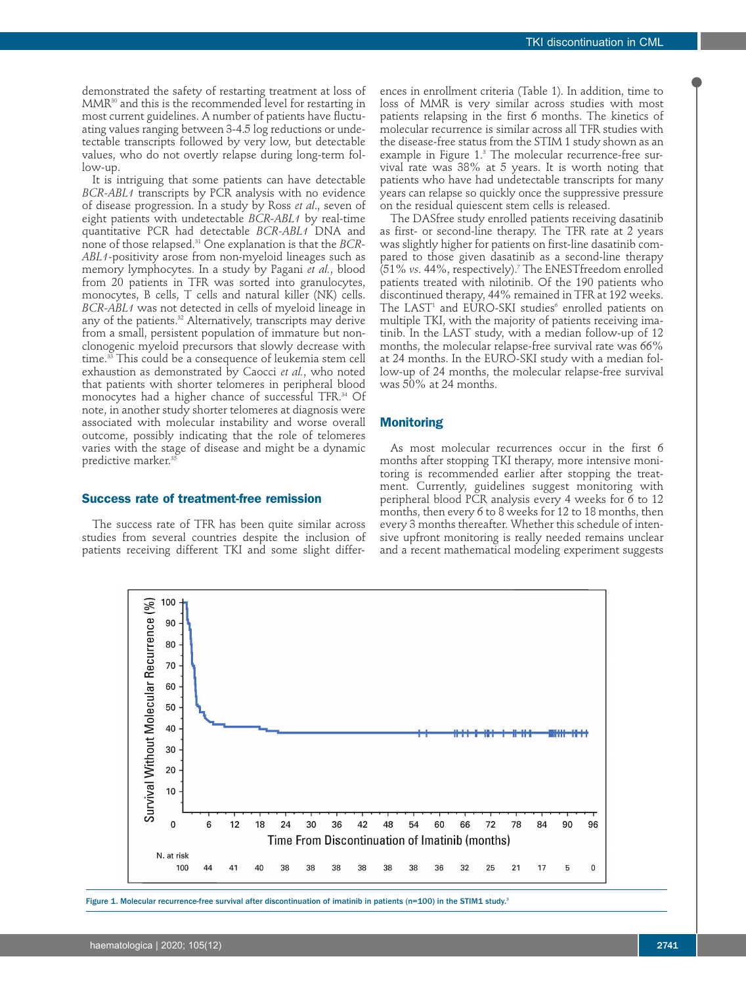demonstrated the safety of restarting treatment at loss of MMR<sup>30</sup> and this is the recommended level for restarting in most current guidelines. A number of patients have fluctuating values ranging between 3-4.5 log reductions or undetectable transcripts followed by very low, but detectable values, who do not overtly relapse during long-term follow-up.

It is intriguing that some patients can have detectable *BCR-ABL1* transcripts by PCR analysis with no evidence of disease progression. In a study by Ross *et al*., seven of eight patients with undetectable *BCR-ABL1* by real-time quantitative PCR had detectable *BCR-ABL1* DNA and none of those relapsed. <sup>31</sup> One explanation is that the *BCR-ABL1-*positivity arose from non-myeloid lineages such as memory lymphocytes. In a study by Pagani *et al.*, blood from 20 patients in TFR was sorted into granulocytes, monocytes, B cells, T cells and natural killer (NK) cells. *BCR-ABL1* was not detected in cells of myeloid lineage in any of the patients. <sup>32</sup> Alternatively, transcripts may derive from a small, persistent population of immature but nonclonogenic myeloid precursors that slowly decrease with time. <sup>33</sup> This could be a consequence of leukemia stem cell exhaustion as demonstrated by Caocci *et al.*, who noted that patients with shorter telomeres in peripheral blood monocytes had a higher chance of successful TFR. <sup>34</sup> Of note, in another study shorter telomeres at diagnosis were associated with molecular instability and worse overall outcome, possibly indicating that the role of telomeres varies with the stage of disease and might be a dynamic predictive marker. 35

#### **Success rate of treatment-free remission**

The success rate of TFR has been quite similar across studies from several countries despite the inclusion of patients receiving different TKI and some slight differ-

ences in enrollment criteria (Table 1). In addition, time to loss of MMR is very similar across studies with most patients relapsing in the first 6 months. The kinetics of molecular recurrence is similar across all TFR studies with the disease-free status from the STIM 1 study shown as an example in Figure 1. <sup>3</sup> The molecular recurrence-free survival rate was 38% at 5 years. It is worth noting that patients who have had undetectable transcripts for many years can relapse so quickly once the suppressive pressure on the residual quiescent stem cells is released.

The DASfree study enrolled patients receiving dasatinib as first- or second-line therapy. The TFR rate at 2 years was slightly higher for patients on first-line dasatinib compared to those given dasatinib as a second-line therapy (51% *vs*. 44%, respectively). <sup>7</sup> The ENESTfreedom enrolled patients treated with nilotinib. Of the 190 patients who discontinued therapy, 44% remained in TFR at 192 weeks. The LAST<sup>1</sup> and EURO-SKI studies<sup>6</sup> enrolled patients on multiple TKI, with the majority of patients receiving imatinib. In the LAST study, with a median follow-up of 12 months, the molecular relapse-free survival rate was 66% at 24 months. In the EURO-SKI study with a median follow-up of 24 months, the molecular relapse-free survival was 50% at 24 months.

#### **Monitoring**

As most molecular recurrences occur in the first 6 months after stopping TKI therapy, more intensive monitoring is recommended earlier after stopping the treatment. Currently, guidelines suggest monitoring with peripheral blood PCR analysis every 4 weeks for 6 to 12 months, then every 6 to 8 weeks for 12 to 18 months, then every 3 months thereafter. Whether this schedule of intensive upfront monitoring is really needed remains unclear and a recent mathematical modeling experiment suggests



Figure 1. Molecular recurrence-free survival after discontinuation of imatinib in patients (n=100) in the STIM1 study.<sup>3</sup>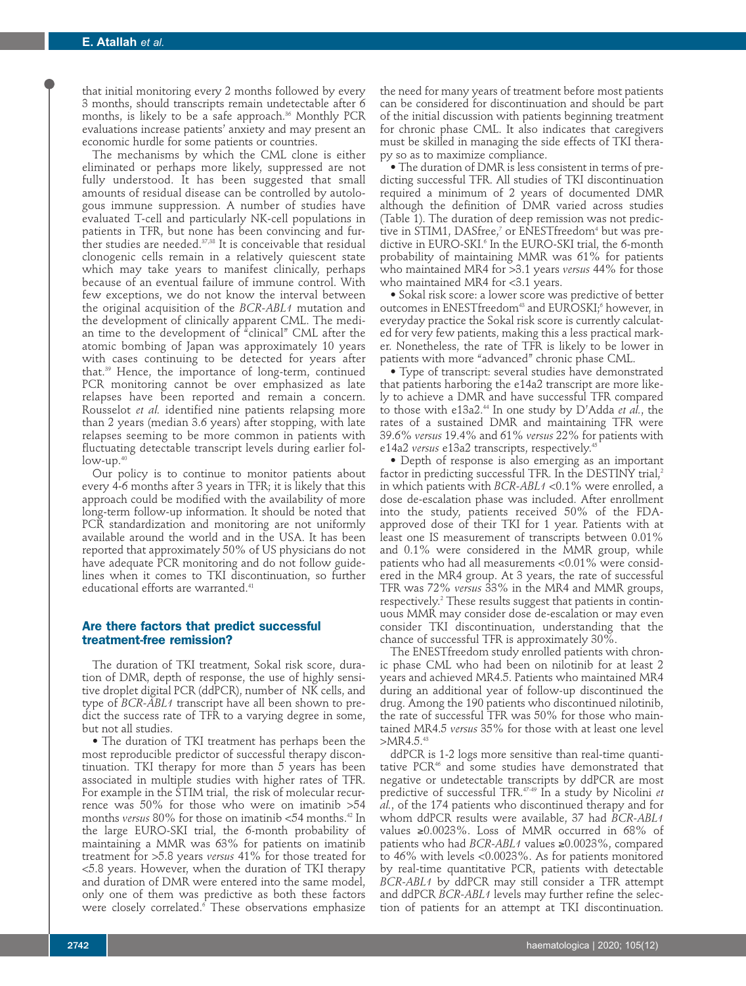that initial monitoring every 2 months followed by every 3 months, should transcripts remain undetectable after 6 months, is likely to be a safe approach. <sup>36</sup> Monthly PCR evaluations increase patients' anxiety and may present an economic hurdle for some patients or countries.

The mechanisms by which the CML clone is either eliminated or perhaps more likely, suppressed are not fully understood. It has been suggested that small amounts of residual disease can be controlled by autologous immune suppression. A number of studies have evaluated T-cell and particularly NK-cell populations in patients in TFR, but none has been convincing and further studies are needed. 37,38 It is conceivable that residual clonogenic cells remain in a relatively quiescent state which may take years to manifest clinically, perhaps because of an eventual failure of immune control. With few exceptions, we do not know the interval between the original acquisition of the *BCR-ABL1* mutation and the development of clinically apparent CML. The median time to the development of "clinical" CML after the atomic bombing of Japan was approximately 10 years with cases continuing to be detected for years after that. <sup>39</sup> Hence, the importance of long-term, continued PCR monitoring cannot be over emphasized as late relapses have been reported and remain a concern. Rousselot *et al.* identified nine patients relapsing more than 2 years (median 3.6 years) after stopping, with late relapses seeming to be more common in patients with fluctuating detectable transcript levels during earlier follow-up. 40

Our policy is to continue to monitor patients about every 4-6 months after 3 years in TFR; it is likely that this approach could be modified with the availability of more long-term follow-up information. It should be noted that PCR standardization and monitoring are not uniformly available around the world and in the USA. It has been reported that approximately 50% of US physicians do not have adequate PCR monitoring and do not follow guidelines when it comes to TKI discontinuation, so further educational efforts are warranted. 41

#### **Are there factors that predict successful treatment-free remission?**

The duration of TKI treatment, Sokal risk score, duration of DMR, depth of response, the use of highly sensitive droplet digital PCR (ddPCR), number of NK cells, and type of *BCR-ABL1* transcript have all been shown to predict the success rate of TFR to a varying degree in some, but not all studies.

• The duration of TKI treatment has perhaps been the most reproducible predictor of successful therapy discontinuation. TKI therapy for more than 5 years has been associated in multiple studies with higher rates of TFR. For example in the STIM trial, the risk of molecular recurrence was 50% for those who were on imatinib >54 months *versus* 80% for those on imatinib <54 months. <sup>42</sup> In the large EURO-SKI trial, the 6-month probability of maintaining a MMR was 63% for patients on imatinib treatment for >5.8 years *versus* 41% for those treated for <5.8 years. However, when the duration of TKI therapy and duration of DMR were entered into the same model, only one of them was predictive as both these factors were closely correlated. <sup>6</sup> These observations emphasize

the need for many years of treatment before most patients can be considered for discontinuation and should be part of the initial discussion with patients beginning treatment for chronic phase CML. It also indicates that caregivers must be skilled in managing the side effects of TKI therapy so as to maximize compliance.

• The duration of DMR is less consistent in terms of predicting successful TFR. All studies of TKI discontinuation required a minimum of 2 years of documented DMR although the definition of DMR varied across studies (Table 1). The duration of deep remission was not predictive in STIM1, DASfree, <sup>7</sup> or ENESTfreedom4 but was predictive in EURO-SKI. <sup>6</sup> In the EURO-SKI trial, the 6-month probability of maintaining MMR was 61% for patients who maintained MR4 for >3.1 years *versus* 44% for those who maintained MR4 for <3.1 years.

• Sokal risk score: a lower score was predictive of better outcomes in  $\mathrm{ENEST}$ freedom $^{43}$  and  $\mathrm{EUROS}$ KI; $^6$  however, in everyday practice the Sokal risk score is currently calculated for very few patients, making this a less practical marker. Nonetheless, the rate of TFR is likely to be lower in patients with more "advanced" chronic phase CML.

• Type of transcript: several studies have demonstrated that patients harboring the e14a2 transcript are more likely to achieve a DMR and have successful TFR compared to those with e13a2. <sup>44</sup> In one study by D'Adda *et al.*, the rates of a sustained DMR and maintaining TFR were 39.6% *versus* 19.4% and 61% *versus* 22% for patients with e14a2 *versus* e13a2 transcripts, respectively. 45

• Depth of response is also emerging as an important factor in predicting successful TFR. In the DESTINY trial, 2 in which patients with *BCR-ABL1* <0.1% were enrolled, a dose de-escalation phase was included. After enrollment into the study, patients received 50% of the FDAapproved dose of their TKI for 1 year. Patients with at least one IS measurement of transcripts between 0.01% and 0.1% were considered in the MMR group, while patients who had all measurements <0.01% were considered in the MR4 group. At 3 years, the rate of successful TFR was 72% *versus* 33% in the MR4 and MMR groups, respectively. <sup>2</sup> These results suggest that patients in continuous MMR may consider dose de-escalation or may even consider TKI discontinuation, understanding that the chance of successful TFR is approximately 30%.

The ENESTfreedom study enrolled patients with chronic phase CML who had been on nilotinib for at least 2 years and achieved MR4.5. Patients who maintained MR4 during an additional year of follow-up discontinued the drug. Among the 190 patients who discontinued nilotinib, the rate of successful TFR was 50% for those who maintained MR4.5 *versus* 35% for those with at least one level >MR4.5. 43

ddPCR is 1-2 logs more sensitive than real-time quantitative PCR<sup>46</sup> and some studies have demonstrated that negative or undetectable transcripts by ddPCR are most predictive of successful TFR. 47-49 In a study by Nicolini *et al.*, of the 174 patients who discontinued therapy and for whom ddPCR results were available, 37 had *BCR-ABL1* values ≥0.0023%. Loss of MMR occurred in 68% of patients who had *BCR-ABL1* values ≥0.0023%, compared to 46% with levels <0.0023%. As for patients monitored by real-time quantitative PCR, patients with detectable *BCR-ABL1* by ddPCR may still consider a TFR attempt and ddPCR *BCR-ABL1* levels may further refine the selection of patients for an attempt at TKI discontinuation.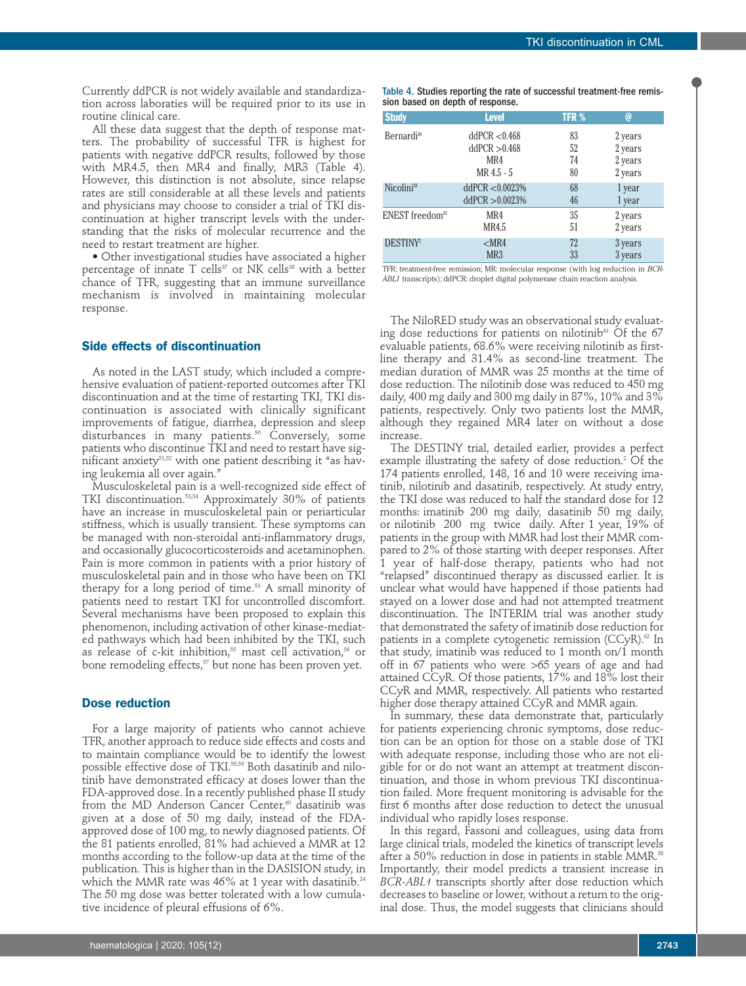Currently ddPCR is not widely available and standardization across laboraties will be required prior to its use in routine clinical care.

All these data suggest that the depth of response matters. The probability of successful TFR is highest for patients with negative ddPCR results, followed by those with MR4.5, then MR4 and finally, MR3 (Table 4). However, this distinction is not absolute, since relapse rates are still considerable at all these levels and patients and physicians may choose to consider a trial of TKI discontinuation at higher transcript levels with the understanding that the risks of molecular recurrence and the need to restart treatment are higher.

• Other investigational studies have associated a higher percentage of innate  $T$  cells<sup>37</sup> or NK cells<sup>38</sup> with a better chance of TFR, suggesting that an immune surveillance mechanism is involved in maintaining molecular response.

#### **Side effects of discontinuation**

As noted in the LAST study, which included a comprehensive evaluation of patient-reported outcomes after TKI discontinuation and at the time of restarting TKI, TKI discontinuation is associated with clinically significant improvements of fatigue, diarrhea, depression and sleep disturbances in many patients. <sup>50</sup> Conversely, some patients who discontinue TKI and need to restart have significant anxiety<sup>51,52</sup> with one patient describing it "as having leukemia all over again."

Musculoskeletal pain is a well-recognized side effect of TKI discontinuation. 53,54 Approximately 30% of patients have an increase in musculoskeletal pain or periarticular stiffness, which is usually transient. These symptoms can be managed with non-steroidal anti-inflammatory drugs, and occasionally glucocorticosteroids and acetaminophen. Pain is more common in patients with a prior history of musculoskeletal pain and in those who have been on TKI therapy for a long period of time. <sup>53</sup> A small minority of patients need to restart TKI for uncontrolled discomfort. Several mechanisms have been proposed to explain this phenomenon, including activation of other kinase-mediated pathways which had been inhibited by the TKI, such as release of c-kit inhibition, <sup>55</sup> mast cell activation, <sup>56</sup> or bone remodeling effects, <sup>57</sup> but none has been proven yet.

#### **Dose reduction**

For a large majority of patients who cannot achieve TFR, another approach to reduce side effects and costs and to maintain compliance would be to identify the lowest possible effective dose of TKI. 58,59 Both dasatinib and nilotinib have demonstrated efficacy at doses lower than the FDA-approved dose. In a recently published phase II study from the MD Anderson Cancer Center, <sup>60</sup> dasatinib was given at a dose of 50 mg daily, instead of the FDAapproved dose of 100 mg, to newly diagnosed patients. Of the 81 patients enrolled, 81% had achieved a MMR at 12 months according to the follow-up data at the time of the publication. This is higher than in the DASISION study, in which the MMR rate was 46% at 1 year with dasatinib. $^{\scriptscriptstyle 24}$ The 50 mg dose was better tolerated with a low cumulative incidence of pleural effusions of 6%.

| <b>Study</b>                | <b>Level</b>    | <b>TFR %</b> | @       |
|-----------------------------|-----------------|--------------|---------|
| Bernardi <sup>49</sup>      | ddPCR < 0.468   | 83           | 2 years |
|                             | ddPCR > 0.468   | 52           | 2 years |
|                             | MR4             | 74           | 2 years |
|                             | MR 4.5 - 5      | 80           | 2 years |
| Nicolini <sup>48</sup>      | ddPCR < 0.0023% | 68           | 1 year  |
|                             | ddPCR > 0.0023% | 46           | 1 year  |
| ENEST freedom <sup>43</sup> | MR4             | 35           | 2 years |
|                             | MR4.5           | 51           | 2 years |
| DESTINY <sup>2</sup>        | $<$ MR4         | 72           | 3 years |
|                             | MR <sub>3</sub> | 33           | 3 years |

TFR: treatment-free remission; MR: molecular response (with log reduction in *BCR-ABL1* transcripts); ddPCR: droplet digital polymerase chain reaction analysis.

The NiloRED study was an observational study evaluating dose reductions for patients on nilotinib $61$  Of the 67 evaluable patients, 68.6% were receiving nilotinib as firstline therapy and 31.4% as second-line treatment. The median duration of MMR was 25 months at the time of dose reduction. The nilotinib dose was reduced to 450 mg daily, 400 mg daily and 300 mg daily in 87%, 10% and  $3\%$ patients, respectively. Only two patients lost the MMR, although they regained MR4 later on without a dose increase.

The DESTINY trial, detailed earlier, provides a perfect example illustrating the safety of dose reduction. <sup>2</sup> Of the 174 patients enrolled, 148, 16 and 10 were receiving imatinib, nilotinib and dasatinib, respectively. At study entry, the TKI dose was reduced to half the standard dose for 12 months: imatinib 200 mg daily, dasatinib 50 mg daily, or nilotinib 200 mg twice daily. After 1 year, 19% of patients in the group with MMR had lost their MMR compared to 2% of those starting with deeper responses. After 1 year of half-dose therapy, patients who had not "relapsed" discontinued therapy as discussed earlier. It is unclear what would have happened if those patients had stayed on a lower dose and had not attempted treatment discontinuation. The INTERIM trial was another study that demonstrated the safety of imatinib dose reduction for patients in a complete cytogenetic remission (CCyR). <sup>62</sup> In that study, imatinib was reduced to 1 month on/1 month off in 67 patients who were >65 years of age and had attained CCyR. Of those patients, 17% and 18% lost their CCyR and MMR, respectively. All patients who restarted higher dose therapy attained CCyR and MMR again.

In summary, these data demonstrate that, particularly for patients experiencing chronic symptoms, dose reduction can be an option for those on a stable dose of TKI with adequate response, including those who are not eligible for or do not want an attempt at treatment discontinuation, and those in whom previous TKI discontinuation failed. More frequent monitoring is advisable for the first 6 months after dose reduction to detect the unusual individual who rapidly loses response.

In this regard, Fassoni and colleagues, using data from large clinical trials, modeled the kinetics of transcript levels after a 50% reduction in dose in patients in stable MMR. 58 Importantly, their model predicts a transient increase in *BCR-ABL1* transcripts shortly after dose reduction which decreases to baseline or lower, without a return to the original dose. Thus, the model suggests that clinicians should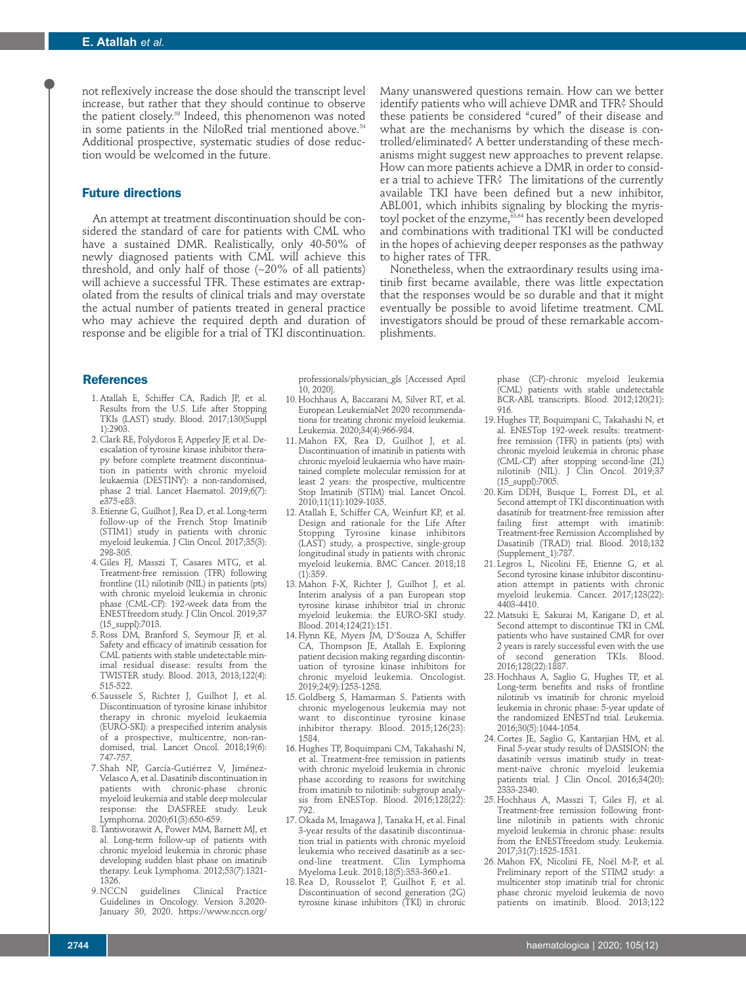not reflexively increase the dose should the transcript level increase, but rather that they should continue to observe the patient closely. <sup>59</sup> Indeed, this phenomenon was noted in some patients in the NiloRed trial mentioned above. 54 Additional prospective, systematic studies of dose reduction would be welcomed in the future.

#### **Future directions**

An attempt at treatment discontinuation should be considered the standard of care for patients with CML who have a sustained DMR. Realistically, only 40-50% of newly diagnosed patients with CML will achieve this threshold, and only half of those (~20% of all patients) will achieve a successful TFR. These estimates are extrapolated from the results of clinical trials and may overstate the actual number of patients treated in general practice who may achieve the required depth and duration of response and be eligible for a trial of TKI discontinuation.

Many unanswered questions remain. How can we better identify patients who will achieve DMR and TFR? Should these patients be considered "cured" of their disease and what are the mechanisms by which the disease is controlled/eliminated? A better understanding of these mechanisms might suggest new approaches to prevent relapse. How can more patients achieve a DMR in order to consider a trial to achieve TFR? The limitations of the currently available TKI have been defined but a new inhibitor, ABL001, which inhibits signaling by blocking the myristoyl pocket of the enzyme, 63,64 has recently been developed and combinations with traditional TKI will be conducted in the hopes of achieving deeper responses as the pathway to higher rates of TFR.

Nonetheless, when the extraordinary results using imatinib first became available, there was little expectation that the responses would be so durable and that it might eventually be possible to avoid lifetime treatment. CML investigators should be proud of these remarkable accomplishments.

#### **References**

- 1. Atallah E, Schiffer CA, Radich JP, et al. Results from the U.S. Life after Stopping TKIs (LAST) study. Blood. 2017;130(Suppl 1):2903.
- 2. Clark RE, Polydoros F, Apperley JF, et al. Deescalation of tyrosine kinase inhibitor therapy before complete treatment discontinuation in patients with chronic myeloid leukaemia (DESTINY): a non-randomised, phase 2 trial. Lancet Haematol. 2019;6(7): e375-e83.
- 3. Etienne G, Guilhot J, Rea D, et al. Long-term follow-up of the French Stop Imatinib (STIM1) study in patients with chronic myeloid leukemia. J Clin Oncol. 2017;35(3): 298-305.
- 4. Giles FJ, Masszi T, Casares MTG, et al. Treatment-free remission (TFR) following frontline (1L) nilotinib (NIL) in patients (pts) with chronic myeloid leukemia in chronic phase (CML-CP): 192-week data from the ENESTfreedom study. J Clin Oncol. 2019;37 (15\_suppl):7013.
- 5.Ross DM, Branford S, Seymour JF, et al. Safety and efficacy of imatinib cessation for CML patients with stable undetectable minimal residual disease: results from the TWISTER study. Blood. 2013, 2013;122(4): 515-522.
- 6. Saussele S, Richter J, Guilhot J, et al. Discontinuation of tyrosine kinase inhibitor therapy in chronic myeloid leukaemia (EURO-SKI): a prespecified interim analysis of a prospective, multicentre, non-randomised, trial. Lancet Oncol. 2018;19(6): 747-757.
- 7. Shah NP, García-Gutiérrez V, Jiménez-Velasco A, et al. Dasatinib discontinuation in patients with chronic-phase chronic myeloid leukemia and stable deep molecular response: the DASFREE study. Leuk Lymphoma. 2020;61(3):650-659.
- 8.Tantiworawit A, Power MM, Barnett MJ, et al. Long-term follow-up of patients with chronic myeloid leukemia in chronic phase developing sudden blast phase on imatinib therapy. Leuk Lymphoma. 2012;53(7):1321- 1326.<br>9. NCCN
- guidelines Clinical Practice Guidelines in Oncology. Version 3.2020- January 30, 2020. https://www.nccn.org/

professionals/physician\_gls [Accessed April 10, 2020].

- 10. Hochhaus A, Baccarani M, Silver RT, et al. European LeukemiaNet 2020 recommendations for treating chronic myeloid leukemia. Leukemia. 2020;34(4):966-984.
- 11. Mahon FX, Rea D, Guilhot J, et al. Discontinuation of imatinib in patients with chronic myeloid leukaemia who have maintained complete molecular remission for at least 2 years: the prospective, multicentre Stop Imatinib (STIM) trial. Lancet Oncol. 2010;11(11):1029-1035.
- 12. Atallah E, Schiffer CA, Weinfurt KP, et al. Design and rationale for the Life After Stopping Tyrosine kinase inhibitors (LAST) study, a prospective, single-group longitudinal study in patients with chronic myeloid leukemia. BMC Cancer. 2018;18  $(1):359.$
- 13. Mahon F-X, Richter J, Guilhot J, et al. Interim analysis of a pan European stop tyrosine kinase inhibitor trial in chronic myeloid leukemia: the EURO-SKI study. Blood. 2014;124(21):151.
- 14. Flynn KE, Myers JM, D'Souza A, Schiffer CA, Thompson JE, Atallah E. Exploring patient decision making regarding discontinuation of tyrosine kinase inhibitors for chronic myeloid leukemia. Oncologist. 2019;24(9):1253-1258.
- 15. Goldberg S, Hamarman S. Patients with chronic myelogenous leukemia may not want to discontinue tyrosine kinase inhibitor therapy. Blood. 2015;126(23): 1584.
- 16. Hughes TP, Boquimpani CM, Takahashi N, et al. Treatment-free remission in patients with chronic myeloid leukemia in chronic phase according to reasons for switching from imatinib to nilotinib: subgroup analysis from ENESTop. Blood. 2016;128(22): 792.
- 17. Okada M, Imagawa J, Tanaka H, et al. Final 3-year results of the dasatinib discontinuation trial in patients with chronic myeloid leukemia who received dasatinib as a second-line treatment. Clin Lymphoma Myeloma Leuk. 2018;18(5):353-360.e1.
- 18. Rea D, Rousselot P, Guilhot F, et al. Discontinuation of second generation (2G) tyrosine kinase inhibitors (TKI) in chronic

phase (CP)-chronic myeloid leukemia (CML) patients with stable undetectable BCR-ABL transcripts. Blood. 2012;120(21): 916.

- 19. Hughes TP, Boquimpani C, Takahashi N, et al. ENESTop 192-week results: treatmentfree remission (TFR) in patients (pts) with chronic myeloid leukemia in chronic phase (CML-CP) after stopping second-line (2L) nilotinib (NIL). J Clin Oncol. 2019;37 (15\_suppl):7005.
- 20.Kim DDH, Busque L, Forrest DL, et al. Second attempt of TKI discontinuation with dasatinib for treatment-free remission after failing first attempt with imatinib: Treatment-free Remission Accomplished by Dasatinib (TRAD) trial. Blood. 2018;132 (Supplement\_1):787.
- 21. Legros L, Nicolini FE, Etienne G, et al. Second tyrosine kinase inhibitor discontinuation attempt in patients with chronic myeloid leukemia. Cancer. 2017;123(22): 4403-4410.
- 22. Matsuki E, Sakurai M, Karigane D, et al. Second attempt to discontinue TKI in CML patients who have sustained CMR for over 2 years is rarely successful even with the use of second generation TKIs. Blood. 2016;128(22):1887.
- 23. Hochhaus A, Saglio G, Hughes TP, et al. Long-term benefits and risks of frontline nilotinib vs imatinib for chronic myeloid leukemia in chronic phase: 5-year update of the randomized ENESTnd trial. Leukemia. 2016;30(5):1044-1054.
- 24. Cortes JE, Saglio G, Kantarjian HM, et al. Final 5-year study results of DASISION: the dasatinib versus imatinib study in treatment-naïve chronic myeloid leukemia patients trial. J Clin Oncol. 2016;34(20): 2333-2340.
- 25. Hochhaus A, Masszi T, Giles FJ, et al. Treatment-free remission following frontline nilotinib in patients with chronic myeloid leukemia in chronic phase: results from the ENESTfreedom study. Leukemia. 2017;31(7):1525-1531.
- 26. Mahon FX, Nicolini FE, Noël M-P, et al. Preliminary report of the STIM2 study: a multicenter stop imatinib trial for chronic phase chronic myeloid leukemia de novo patients on imatinib. Blood. 2013;122